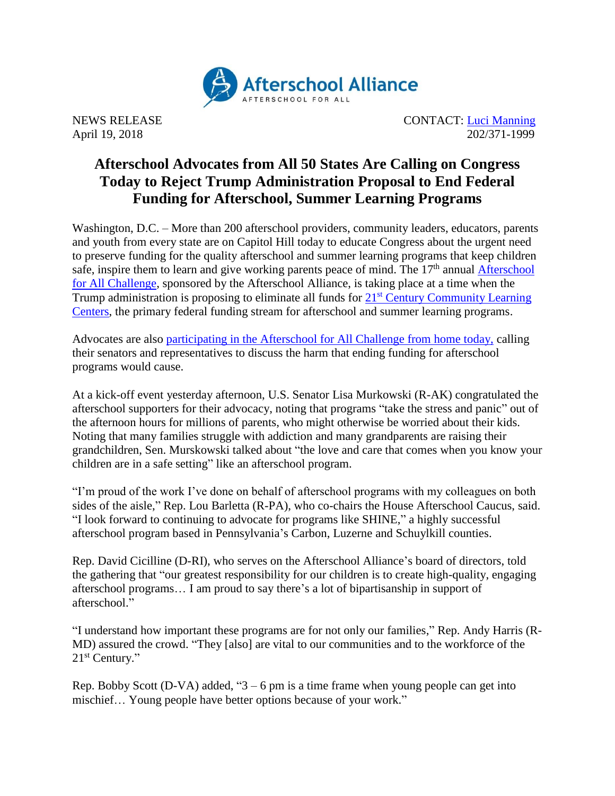

NEWS RELEASE CONTACT: [Luci Manning](mailto:luci@prsolutionsdc.com) April 19, 2018 202/371-1999

## **Afterschool Advocates from All 50 States Are Calling on Congress Today to Reject Trump Administration Proposal to End Federal Funding for Afterschool, Summer Learning Programs**

Washington, D.C. – More than 200 afterschool providers, community leaders, educators, parents and youth from every state are on Capitol Hill today to educate Congress about the urgent need to preserve funding for the quality afterschool and summer learning programs that keep children safe, inspire them to learn and give working parents peace of mind. The 17<sup>th</sup> annual Afterschool [for All Challenge,](http://www.afterschoolalliance.org/challenge.cfm) sponsored by the Afterschool Alliance, is taking place at a time when the Trump administration is proposing to eliminate all funds for  $21<sup>st</sup>$  Century Community Learning [Centers,](http://www.afterschoolalliance.org/policy21stcclc.cfm) the primary federal funding stream for afterschool and summer learning programs.

Advocates are also [participating in the Afterschool for All Challenge from home today,](http://www.afterschoolalliance.org/challenge.cfm) calling their senators and representatives to discuss the harm that ending funding for afterschool programs would cause.

At a kick-off event yesterday afternoon, U.S. Senator Lisa Murkowski (R-AK) congratulated the afterschool supporters for their advocacy, noting that programs "take the stress and panic" out of the afternoon hours for millions of parents, who might otherwise be worried about their kids. Noting that many families struggle with addiction and many grandparents are raising their grandchildren, Sen. Murskowski talked about "the love and care that comes when you know your children are in a safe setting" like an afterschool program.

"I'm proud of the work I've done on behalf of afterschool programs with my colleagues on both sides of the aisle," Rep. Lou Barletta (R-PA), who co-chairs the House Afterschool Caucus, said. "I look forward to continuing to advocate for programs like SHINE," a highly successful afterschool program based in Pennsylvania's Carbon, Luzerne and Schuylkill counties.

Rep. David Cicilline (D-RI), who serves on the Afterschool Alliance's board of directors, told the gathering that "our greatest responsibility for our children is to create high-quality, engaging afterschool programs… I am proud to say there's a lot of bipartisanship in support of afterschool."

"I understand how important these programs are for not only our families," Rep. Andy Harris (R-MD) assured the crowd. "They [also] are vital to our communities and to the workforce of the 21<sup>st</sup> Century."

Rep. Bobby Scott (D-VA) added, " $3 - 6$  pm is a time frame when young people can get into mischief… Young people have better options because of your work."